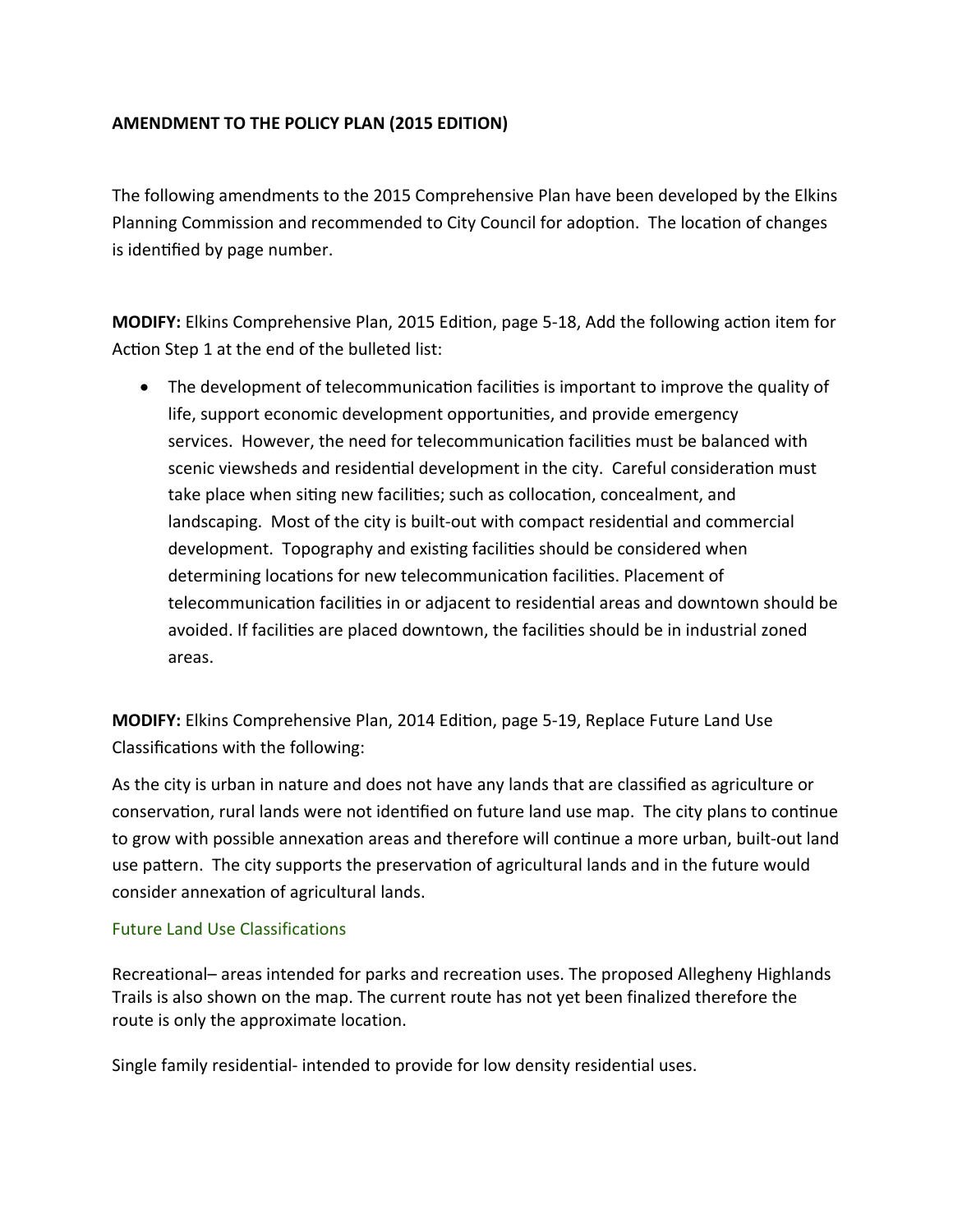## **AMENDMENT TO THE POLICY PLAN (2015 EDITION)**

The following amendments to the 2015 Comprehensive Plan have been developed by the Elkins Planning Commission and recommended to City Council for adoption. The location of changes is identified by page number.

**MODIFY:** Elkins Comprehensive Plan, 2015 Edition, page 5-18, Add the following action item for Action Step 1 at the end of the bulleted list:

• The development of telecommunication facilities is important to improve the quality of life, support economic development opportunities, and provide emergency services. However, the need for telecommunication facilities must be balanced with scenic viewsheds and residential development in the city. Careful consideration must take place when siting new facilities; such as collocation, concealment, and landscaping. Most of the city is built-out with compact residential and commercial development. Topography and existing facilities should be considered when determining locations for new telecommunication facilities. Placement of telecommunication facilities in or adjacent to residential areas and downtown should be avoided. If facilities are placed downtown, the facilities should be in industrial zoned areas.

**MODIFY:** Elkins Comprehensive Plan, 2014 Edition, page 5-19, Replace Future Land Use Classifications with the following:

As the city is urban in nature and does not have any lands that are classified as agriculture or conservation, rural lands were not identified on future land use map. The city plans to continue to grow with possible annexation areas and therefore will continue a more urban, built-out land use pattern. The city supports the preservation of agricultural lands and in the future would consider annexation of agricultural lands.

## Future Land Use Classifications

Recreational– areas intended for parks and recreation uses. The proposed Allegheny Highlands Trails is also shown on the map. The current route has not yet been finalized therefore the route is only the approximate location.

Single family residential‐ intended to provide for low density residential uses.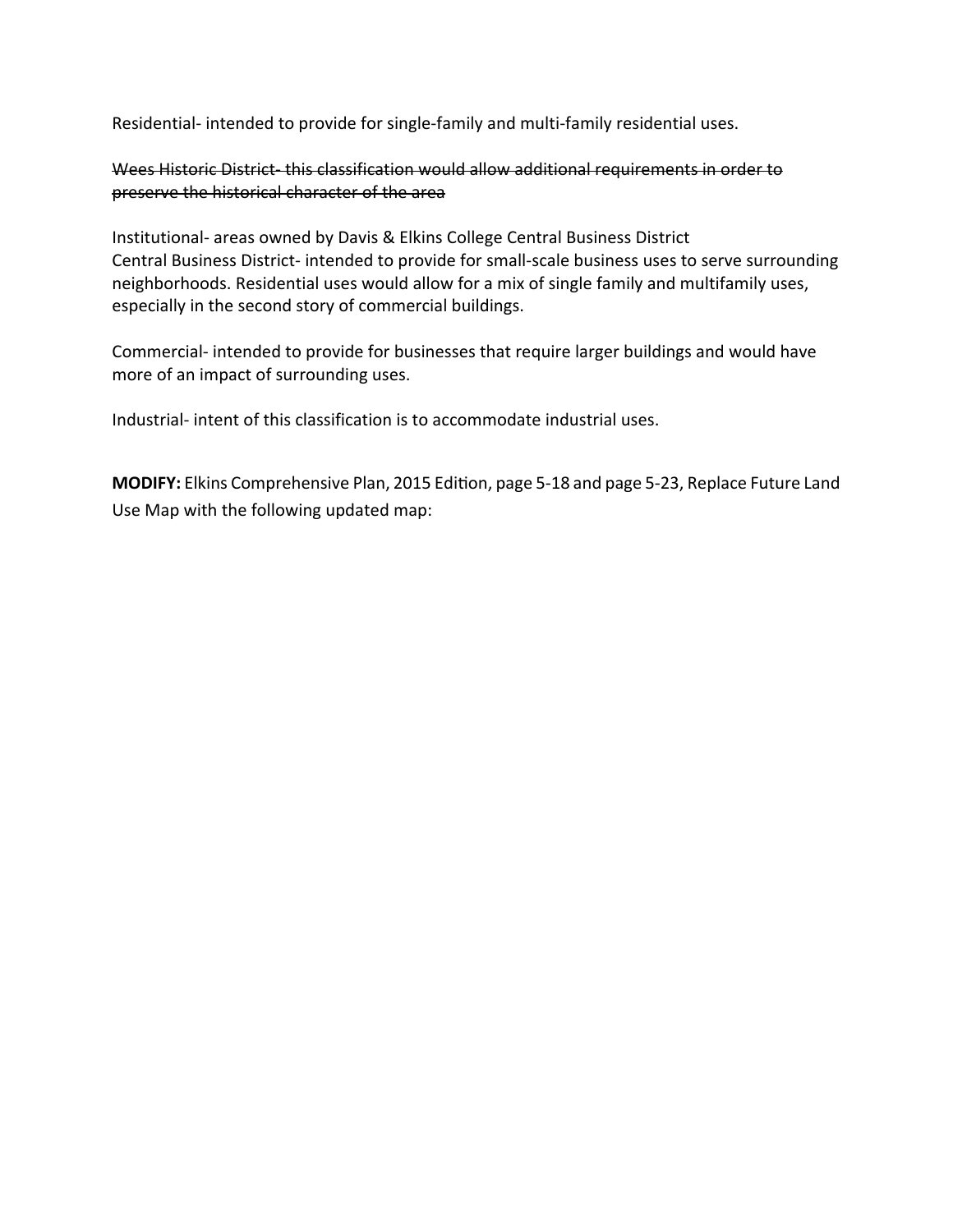Residential- intended to provide for single-family and multi-family residential uses.

Wees Historic District-this classification would allow additional requirements in order to preserve the historical character of the area

Institutional‐ areas owned by Davis & Elkins College Central Business District Central Business District‐ intended to provide for small‐scale business uses to serve surrounding neighborhoods. Residential uses would allow for a mix of single family and multifamily uses, especially in the second story of commercial buildings.

Commercial‐ intended to provide for businesses that require larger buildings and would have more of an impact of surrounding uses.

Industrial‐ intent of this classification is to accommodate industrial uses.

MODIFY: Elkins Comprehensive Plan, 2015 Edition, page 5-18 and page 5-23, Replace Future Land Use Map with the following updated map: